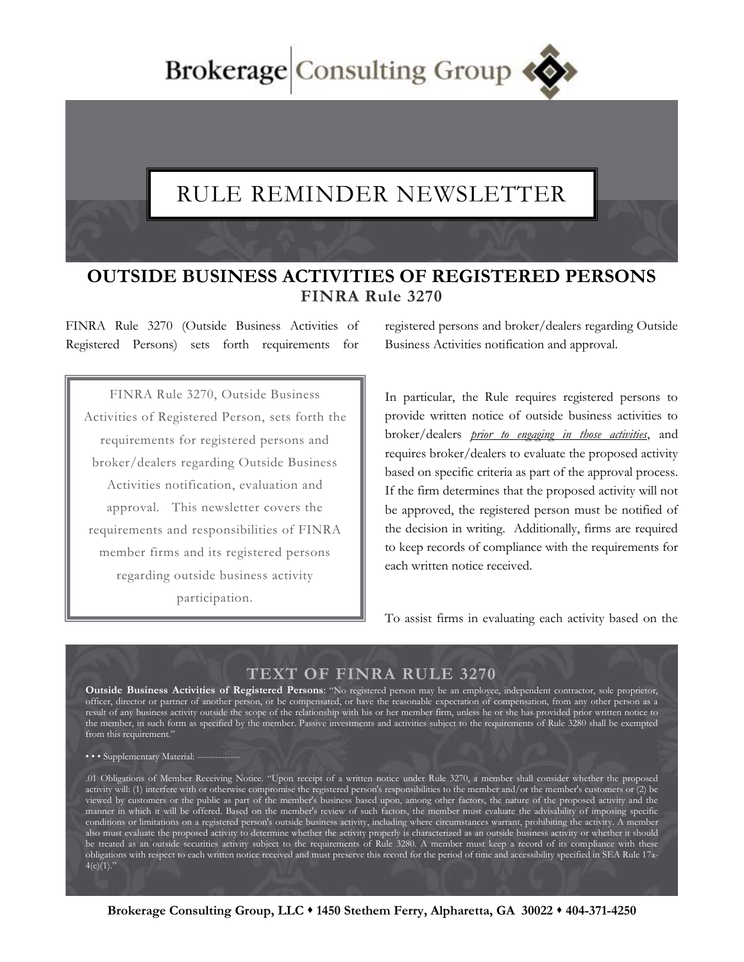Brokerage Consulting Group

## RULE REMINDER NEWSLETTER

## **OUTSIDE BUSINESS ACTIVITIES OF REGISTERED PERSONS FINRA Rule 3270**

FINRA Rule 3270 (Outside Business Activities of Registered Persons) sets forth requirements for

FINRA Rule 3270, Outside Business Activities of Registered Person, sets forth the requirements for registered persons and broker/dealers regarding Outside Business Activities notification, evaluation and approval. This newsletter covers the requirements and responsibilities of FINRA member firms and its registered persons regarding outside business activity participation.

registered persons and broker/dealers regarding Outside Business Activities notification and approval.

In particular, the Rule requires registered persons to provide written notice of outside business activities to broker/dealers *prior to engaging in those activities*, and requires broker/dealers to evaluate the proposed activity based on specific criteria as part of the approval process. If the firm determines that the proposed activity will not be approved, the registered person must be notified of the decision in writing. Additionally, firms are required to keep records of compliance with the requirements for each written notice received.

To assist firms in evaluating each activity based on the

## **TEXT OF FINRA RULE 3270**

**Outside Business Activities of Registered Persons**: "No registered person may be an employee, independent contractor, sole proprietor, officer, director or partner of another person, or be compensated, or have the reasonable expectation of compensation, from any other person as a result of any business activity outside the scope of the relationship with his or her member firm, unless he or she has provided prior written notice to the member, in such form as specified by the member. Passive investments and activities subject to the requirements of Rule 3280 shall be exempted from this requirement."

••• Supplementary Material: -

.01 Obligations of Member Receiving Notice. "Upon receipt of a written notice under Rule 3270, a member shall consider whether the proposed activity will: (1) interfere with or otherwise compromise the registered person's responsibilities to the member and/or the member's customers or (2) be viewed by customers or the public as part of the member's business based upon, among other factors, the nature of the proposed activity and the manner in which it will be offered. Based on the member's review of such factors, the member must evaluate the advisability of imposing specific conditions or limitations on a registered person's outside business activity, including where circumstances warrant, prohibiting the activity. A member also must evaluate the proposed activity to determine whether the activity properly is characterized as an outside business activity or whether it should be treated as an outside securities activity subject to the requirements of Rule 3280. A member must keep a record of its compliance with these obligations with respect to each written notice received and must preserve this record for the period of time and accessibility specified in SEA Rule 17a- $4(e)(1)$ ."